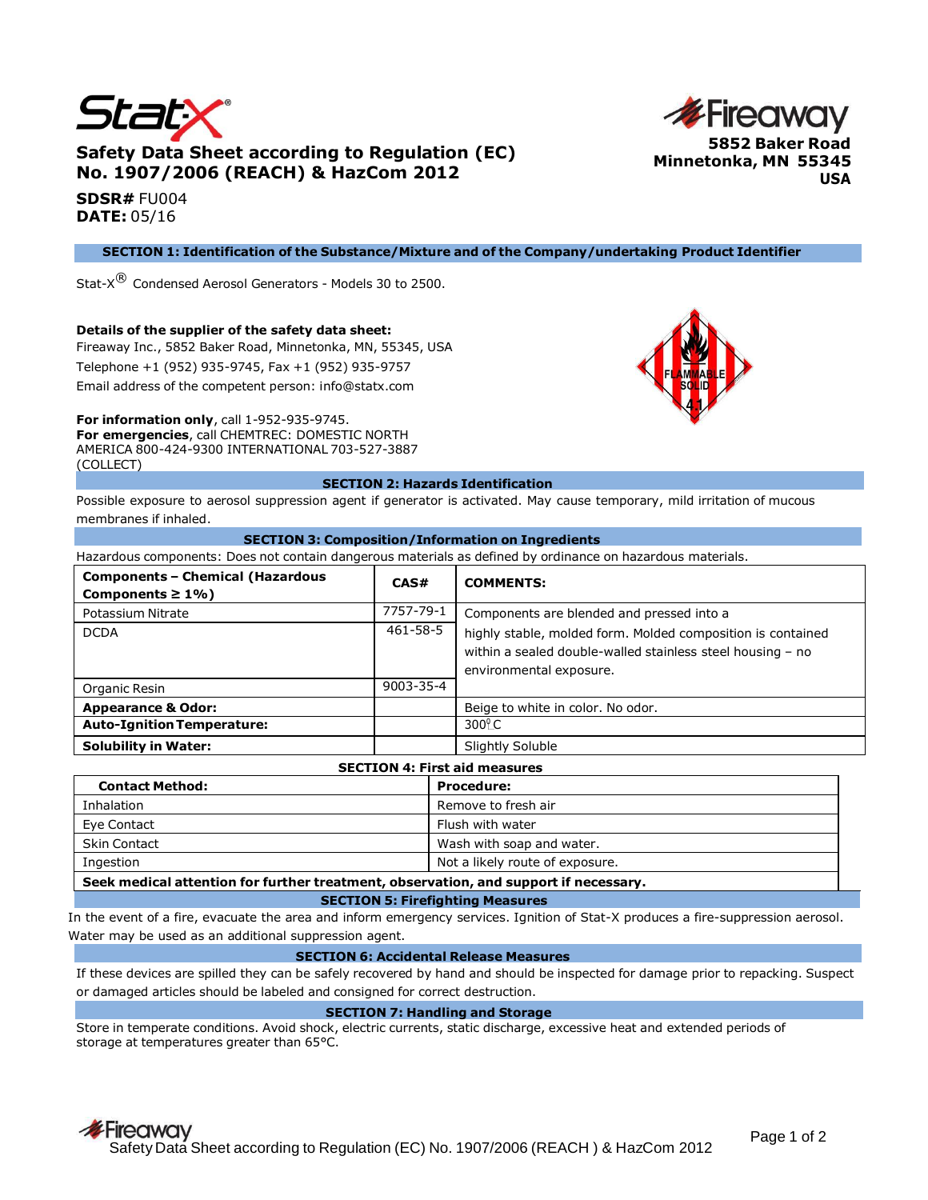

# **Safety Data Sheet according to Regulation (EC) No. 1907/2006 (REACH) & HazCom 2012**

**SDSR#** FU004 **DATE:** 05/16



Stat-X ${}^{\circledR}$  Condensed Aerosol Generators - Models 30 to 2500.

# **Details of the supplier of the safety data sheet:**

Fireaway Inc., 5852 Baker Road, Minnetonka, MN, 55345, USA Telephone +1 (952) 935-9745, Fax +1 (952) 935-9757

Email address of the competent person: [info@statx.com](mailto:info@statx.com)

#### **For information only**, call 1-952-935-9745. **For emergencies**, call CHEMTREC: DOMESTIC NORTH AMERICA 800-424-9300 INTERNATIONAL 703-527-3887 (COLLECT)



### **SECTION 2: Hazards Identification**

Possible exposure to aerosol suppression agent if generator is activated. May cause temporary, mild irritation of mucous membranes if inhaled.

#### **SECTION 3: Composition/Information on Ingredients**

Hazardous components: Does not contain dangerous materials as defined by ordinance on hazardous materials.

| <b>Components - Chemical (Hazardous</b><br>Components $\geq 1\%$ ) | CAS#           | <b>COMMENTS:</b>                                                                                                                                     |
|--------------------------------------------------------------------|----------------|------------------------------------------------------------------------------------------------------------------------------------------------------|
| Potassium Nitrate                                                  | 7757-79-1      | Components are blended and pressed into a                                                                                                            |
| <b>DCDA</b>                                                        | $461 - 58 - 5$ | highly stable, molded form. Molded composition is contained<br>within a sealed double-walled stainless steel housing - no<br>environmental exposure. |
| Organic Resin                                                      | 9003-35-4      |                                                                                                                                                      |
| <b>Appearance &amp; Odor:</b>                                      |                | Beige to white in color. No odor.                                                                                                                    |
| <b>Auto-Ignition Temperature:</b>                                  |                | 300 $\degree$ C                                                                                                                                      |
| <b>Solubility in Water:</b>                                        |                | Slightly Soluble                                                                                                                                     |

#### **SECTION 4: First aid measures**

| <b>Contact Method:</b>                                                               | <b>Procedure:</b>               |  |
|--------------------------------------------------------------------------------------|---------------------------------|--|
| Inhalation                                                                           | Remove to fresh air             |  |
| Eye Contact                                                                          | Flush with water                |  |
| <b>Skin Contact</b>                                                                  | Wash with soap and water.       |  |
| Ingestion                                                                            | Not a likely route of exposure. |  |
| Seek medical attention for further treatment, observation, and support if necessary. |                                 |  |

### **SECTION 5: Firefighting Measures**

In the event of a fire, evacuate the area and inform emergency services. Ignition of Stat-X produces a fire-suppression aerosol. Water may be used as an additional suppression agent.

## **SECTION 6: Accidental Release Measures**

If these devices are spilled they can be safely recovered by hand and should be inspected for damage prior to repacking. Suspect or damaged articles should be labeled and consigned for correct destruction.

## **SECTION 7: Handling and Storage**

Store in temperate conditions. Avoid shock, electric currents, static discharge, excessive heat and extended periods of storage at temperatures greater than 65°C.